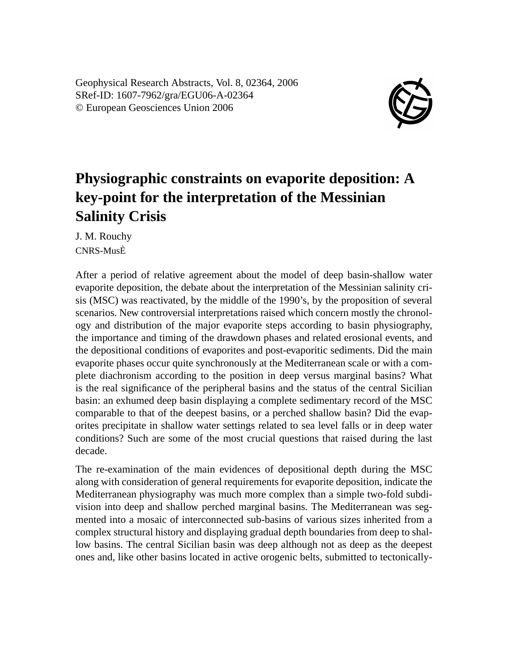Geophysical Research Abstracts, Vol. 8, 02364, 2006 SRef-ID: 1607-7962/gra/EGU06-A-02364 © European Geosciences Union 2006



## **Physiographic constraints on evaporite deposition: A key-point for the interpretation of the Messinian Salinity Crisis**

J. M. Rouchy CNRS-MusÈ

After a period of relative agreement about the model of deep basin-shallow water evaporite deposition, the debate about the interpretation of the Messinian salinity crisis (MSC) was reactivated, by the middle of the 1990's, by the proposition of several scenarios. New controversial interpretations raised which concern mostly the chronology and distribution of the major evaporite steps according to basin physiography, the importance and timing of the drawdown phases and related erosional events, and the depositional conditions of evaporites and post-evaporitic sediments. Did the main evaporite phases occur quite synchronously at the Mediterranean scale or with a complete diachronism according to the position in deep versus marginal basins? What is the real significance of the peripheral basins and the status of the central Sicilian basin: an exhumed deep basin displaying a complete sedimentary record of the MSC comparable to that of the deepest basins, or a perched shallow basin? Did the evaporites precipitate in shallow water settings related to sea level falls or in deep water conditions? Such are some of the most crucial questions that raised during the last decade.

The re-examination of the main evidences of depositional depth during the MSC along with consideration of general requirements for evaporite deposition, indicate the Mediterranean physiography was much more complex than a simple two-fold subdivision into deep and shallow perched marginal basins. The Mediterranean was segmented into a mosaic of interconnected sub-basins of various sizes inherited from a complex structural history and displaying gradual depth boundaries from deep to shallow basins. The central Sicilian basin was deep although not as deep as the deepest ones and, like other basins located in active orogenic belts, submitted to tectonically